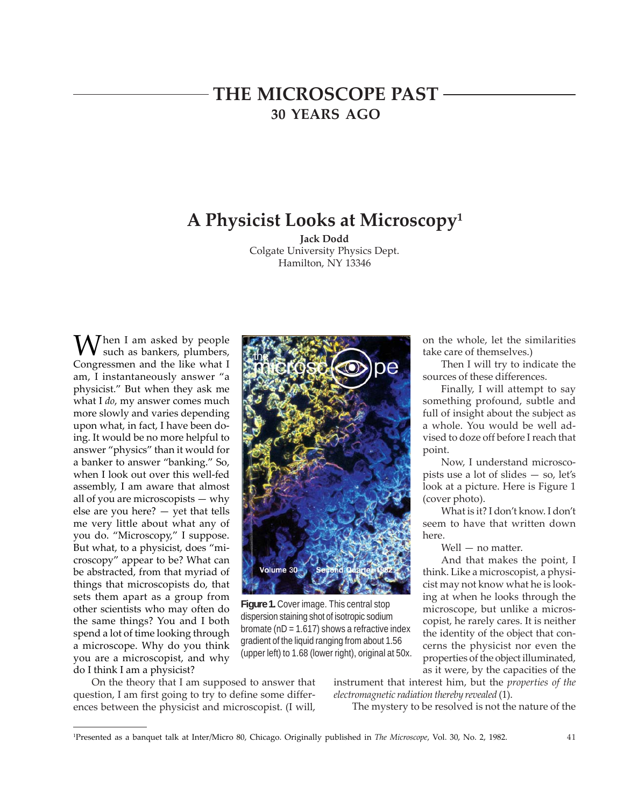# **THE MICROSCOPE PAST 30 YEARS AGO**

# **A Physicist Looks at Microscopy1**

**Jack Dodd** Colgate University Physics Dept. Hamilton, NY 13346

 $M^{h}$  am asked by people such as bankers, plumbers, Congressmen and the like what I am, I instantaneously answer "a physicist." But when they ask me what I *do*, my answer comes much more slowly and varies depending upon what, in fact, I have been doing. It would be no more helpful to answer "physics" than it would for a banker to answer "banking." So, when I look out over this well-fed assembly, I am aware that almost all of you are microscopists — why else are you here? — yet that tells me very little about what any of you do. "Microscopy," I suppose. But what, to a physicist, does "microscopy" appear to be? What can be abstracted, from that myriad of things that microscopists do, that sets them apart as a group from other scientists who may often do the same things? You and I both spend a lot of time looking through a microscope. Why do you think you are a microscopist, and why do I think I am a physicist?



**Figure 1.** Cover image. This central stop dispersion staining shot of isotropic sodium bromate ( $nD = 1.617$ ) shows a refractive index gradient of the liquid ranging from about 1.56 (upper left) to 1.68 (lower right), original at 50x.

On the theory that I am supposed to answer that question, I am first going to try to define some differences between the physicist and microscopist. (I will,

instrument that interest him, but the *properties of the electromagnetic radiation thereby revealed* (1).

The mystery to be resolved is not the nature of the

on the whole, let the similarities take care of themselves.)

Then I will try to indicate the sources of these differences.

Finally, I will attempt to say something profound, subtle and full of insight about the subject as a whole. You would be well advised to doze off before I reach that point.

Now, I understand microscopists use a lot of slides — so, let's look at a picture. Here is Figure 1 (cover photo).

What is it? I don't know. I don't seem to have that written down here.

Well — no matter.

And that makes the point, I think. Like a microscopist, a physicist may not know what he is looking at when he looks through the microscope, but unlike a microscopist, he rarely cares. It is neither the identity of the object that concerns the physicist nor even the properties of the object illuminated, as it were, by the capacities of the

<sup>1</sup> Presented as a banquet talk at Inter/Micro 80, Chicago. Originally published in *The Microscope*, Vol. 30, No. 2, 1982.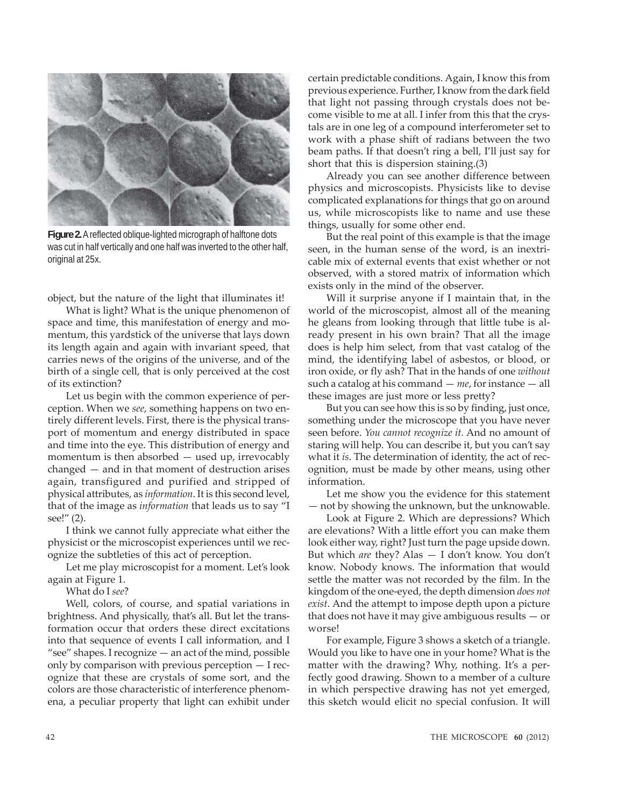

**Figure 2.** A reflected oblique-lighted micrograph of halftone dots was cut in half vertically and one half was inverted to the other half, original at 25x.

object, but the nature of the light that illuminates it!

What is light? What is the unique phenomenon of space and time, this manifestation of energy and momentum, this yardstick of the universe that lays down its length again and again with invariant speed, that carries news of the origins of the universe, and of the birth of a single cell, that is only perceived at the cost of its extinction?

Let us begin with the common experience of perception. When we *see*, something happens on two entirely different levels. First, there is the physical transport of momentum and energy distributed in space and time into the eye. This distribution of energy and momentum is then absorbed — used up, irrevocably changed — and in that moment of destruction arises again, transfigured and purified and stripped of physical attributes, as *information*. It is this second level, that of the image as *information* that leads us to say "I see!" (2).

I think we cannot fully appreciate what either the physicist or the microscopist experiences until we recognize the subtleties of this act of perception.

Let me play microscopist for a moment. Let's look again at Figure 1.

What do I *see*?

Well, colors, of course, and spatial variations in brightness. And physically, that's all. But let the transformation occur that orders these direct excitations into that sequence of events I call information, and I "see" shapes. I recognize — an act of the mind, possible only by comparison with previous perception — I recognize that these are crystals of some sort, and the colors are those characteristic of interference phenomena, a peculiar property that light can exhibit under certain predictable conditions. Again, I know this from previous experience. Further, I know from the dark field that light not passing through crystals does not become visible to me at all. I infer from this that the crystals are in one leg of a compound interferometer set to work with a phase shift of radians between the two beam paths. If that doesn't ring a bell, I'll just say for short that this is dispersion staining.(3)

Already you can see another difference between physics and microscopists. Physicists like to devise complicated explanations for things that go on around us, while microscopists like to name and use these things, usually for some other end.

But the real point of this example is that the image seen, in the human sense of the word, is an inextricable mix of external events that exist whether or not observed, with a stored matrix of information which exists only in the mind of the observer.

Will it surprise anyone if I maintain that, in the world of the microscopist, almost all of the meaning he gleans from looking through that little tube is already present in his own brain? That all the image does is help him select, from that vast catalog of the mind, the identifying label of asbestos, or blood, or iron oxide, or fly ash? That in the hands of one *without* such a catalog at his command — *me*, for instance — all these images are just more or less pretty?

But you can see how this is so by finding, just once, something under the microscope that you have never seen before. *You cannot recognize it.* And no amount of staring will help. You can describe it, but you can't say what it *is*. The determination of identity, the act of recognition, must be made by other means, using other information.

Let me show you the evidence for this statement — not by showing the unknown, but the unknowable.

Look at Figure 2. Which are depressions? Which are elevations? With a little effort you can make them look either way, right? Just turn the page upside down. But which *are* they? Alas — I don't know. You don't know. Nobody knows. The information that would settle the matter was not recorded by the film. In the kingdom of the one-eyed, the depth dimension *does not exist*. And the attempt to impose depth upon a picture that does not have it may give ambiguous results — or worse!

For example, Figure 3 shows a sketch of a triangle. Would you like to have one in your home? What is the matter with the drawing? Why, nothing. It's a perfectly good drawing. Shown to a member of a culture in which perspective drawing has not yet emerged, this sketch would elicit no special confusion. It will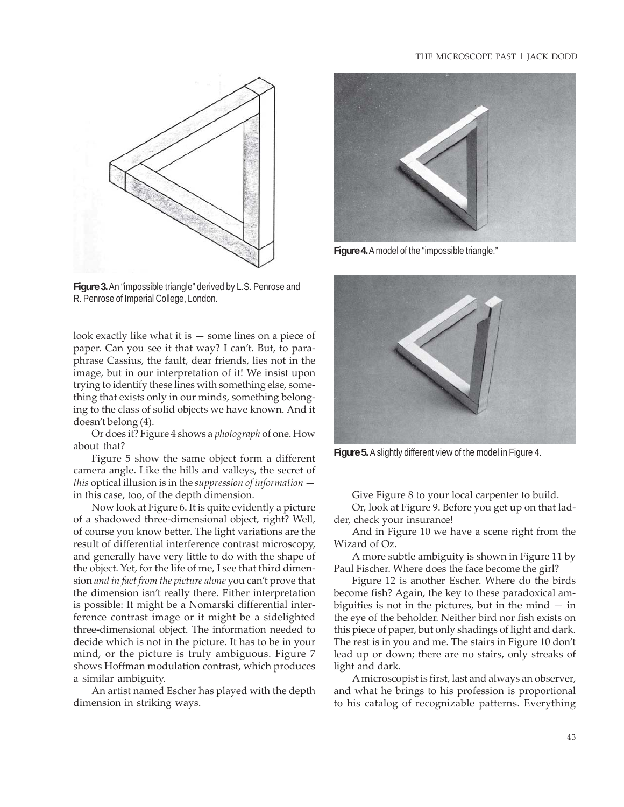#### THE MICROSCOPE PAST | JACK DODD



**Figure 3.** An "impossible triangle" derived by L.S. Penrose and R. Penrose of Imperial College, London.

look exactly like what it is  $-$  some lines on a piece of paper. Can you see it that way? I can't. But, to paraphrase Cassius, the fault, dear friends, lies not in the image, but in our interpretation of it! We insist upon trying to identify these lines with something else, something that exists only in our minds, something belonging to the class of solid objects we have known. And it doesn't belong (4).

Or does it? Figure 4 shows a *photograph* of one. How about that?

Figure 5 show the same object form a different camera angle. Like the hills and valleys, the secret of *this* optical illusion is in the *suppression of information* in this case, too, of the depth dimension.

Now look at Figure 6. It is quite evidently a picture of a shadowed three-dimensional object, right? Well, of course you know better. The light variations are the result of differential interference contrast microscopy, and generally have very little to do with the shape of the object. Yet, for the life of me, I see that third dimension *and in fact from the picture alone* you can't prove that the dimension isn't really there. Either interpretation is possible: It might be a Nomarski differential interference contrast image or it might be a sidelighted three-dimensional object. The information needed to decide which is not in the picture. It has to be in your mind, or the picture is truly ambiguous. Figure 7 shows Hoffman modulation contrast, which produces a similar ambiguity.

An artist named Escher has played with the depth dimension in striking ways.



**Figure 4.** A model of the "impossible triangle."



**Figure 5.** A slightly different view of the model in Figure 4.

Give Figure 8 to your local carpenter to build.

Or, look at Figure 9. Before you get up on that ladder, check your insurance!

And in Figure 10 we have a scene right from the Wizard of Oz.

A more subtle ambiguity is shown in Figure 11 by Paul Fischer. Where does the face become the girl?

Figure 12 is another Escher. Where do the birds become fish? Again, the key to these paradoxical ambiguities is not in the pictures, but in the mind  $-$  in the eye of the beholder. Neither bird nor fish exists on this piece of paper, but only shadings of light and dark. The rest is in you and me. The stairs in Figure 10 don't lead up or down; there are no stairs, only streaks of light and dark.

A microscopist is first, last and always an observer, and what he brings to his profession is proportional to his catalog of recognizable patterns. Everything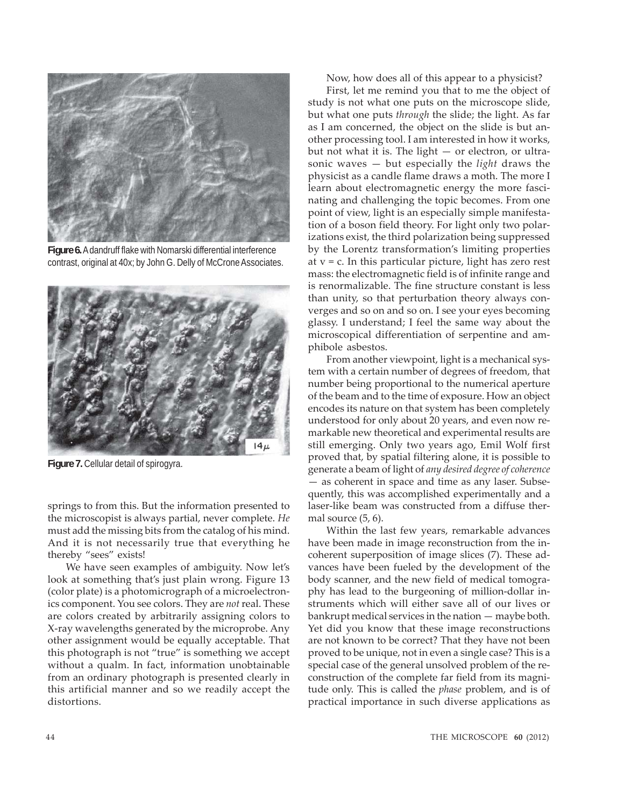

**Figure 6.** A dandruff flake with Nomarski differential interference contrast, original at 40x; by John G. Delly of McCrone Associates.



**Figure 7.** Cellular detail of spirogyra.

springs to from this. But the information presented to the microscopist is always partial, never complete. *He* must add the missing bits from the catalog of his mind. And it is not necessarily true that everything he thereby "sees" exists!

We have seen examples of ambiguity. Now let's look at something that's just plain wrong. Figure 13 (color plate) is a photomicrograph of a microelectronics component. You see colors. They are *not* real. These are colors created by arbitrarily assigning colors to X-ray wavelengths generated by the microprobe. Any other assignment would be equally acceptable. That this photograph is not "true" is something we accept without a qualm. In fact, information unobtainable from an ordinary photograph is presented clearly in this artificial manner and so we readily accept the distortions.

Now, how does all of this appear to a physicist?

First, let me remind you that to me the object of study is not what one puts on the microscope slide, but what one puts *through* the slide; the light. As far as I am concerned, the object on the slide is but another processing tool. I am interested in how it works, but not what it is. The light — or electron, or ultrasonic waves — but especially the *light* draws the physicist as a candle flame draws a moth. The more I learn about electromagnetic energy the more fascinating and challenging the topic becomes. From one point of view, light is an especially simple manifestation of a boson field theory. For light only two polarizations exist, the third polarization being suppressed by the Lorentz transformation's limiting properties at  $v = c$ . In this particular picture, light has zero rest mass: the electromagnetic field is of infinite range and is renormalizable. The fine structure constant is less than unity, so that perturbation theory always converges and so on and so on. I see your eyes becoming glassy. I understand; I feel the same way about the microscopical differentiation of serpentine and amphibole asbestos.

From another viewpoint, light is a mechanical system with a certain number of degrees of freedom, that number being proportional to the numerical aperture of the beam and to the time of exposure. How an object encodes its nature on that system has been completely understood for only about 20 years, and even now remarkable new theoretical and experimental results are still emerging. Only two years ago, Emil Wolf first proved that, by spatial filtering alone, it is possible to generate a beam of light of *any desired degree of coherence* — as coherent in space and time as any laser. Subsequently, this was accomplished experimentally and a laser-like beam was constructed from a diffuse thermal source (5, 6).

Within the last few years, remarkable advances have been made in image reconstruction from the incoherent superposition of image slices (7). These advances have been fueled by the development of the body scanner, and the new field of medical tomography has lead to the burgeoning of million-dollar instruments which will either save all of our lives or bankrupt medical services in the nation — maybe both. Yet did you know that these image reconstructions are not known to be correct? That they have not been proved to be unique, not in even a single case? This is a special case of the general unsolved problem of the reconstruction of the complete far field from its magnitude only. This is called the *phase* problem, and is of practical importance in such diverse applications as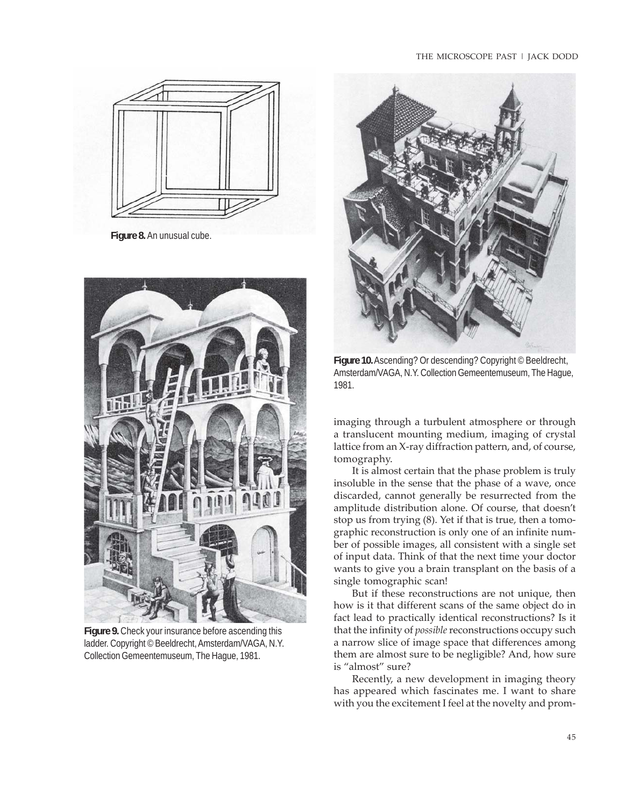### THE MICROSCOPE PAST | JACK DODD



**Figure 8.** An unusual cube.



**Figure 9.** Check your insurance before ascending this ladder. Copyright © Beeldrecht, Amsterdam/VAGA, N.Y. Collection Gemeentemuseum, The Hague, 1981.



**Figure 10.** Ascending? Or descending? Copyright © Beeldrecht, Amsterdam/VAGA, N.Y. Collection Gemeentemuseum, The Hague, 1981.

imaging through a turbulent atmosphere or through a translucent mounting medium, imaging of crystal lattice from an X-ray diffraction pattern, and, of course, tomography.

It is almost certain that the phase problem is truly insoluble in the sense that the phase of a wave, once discarded, cannot generally be resurrected from the amplitude distribution alone. Of course, that doesn't stop us from trying (8). Yet if that is true, then a tomographic reconstruction is only one of an infinite number of possible images, all consistent with a single set of input data. Think of that the next time your doctor wants to give you a brain transplant on the basis of a single tomographic scan!

But if these reconstructions are not unique, then how is it that different scans of the same object do in fact lead to practically identical reconstructions? Is it that the infinity of *possible* reconstructions occupy such a narrow slice of image space that differences among them are almost sure to be negligible? And, how sure is "almost" sure?

Recently, a new development in imaging theory has appeared which fascinates me. I want to share with you the excitement I feel at the novelty and prom-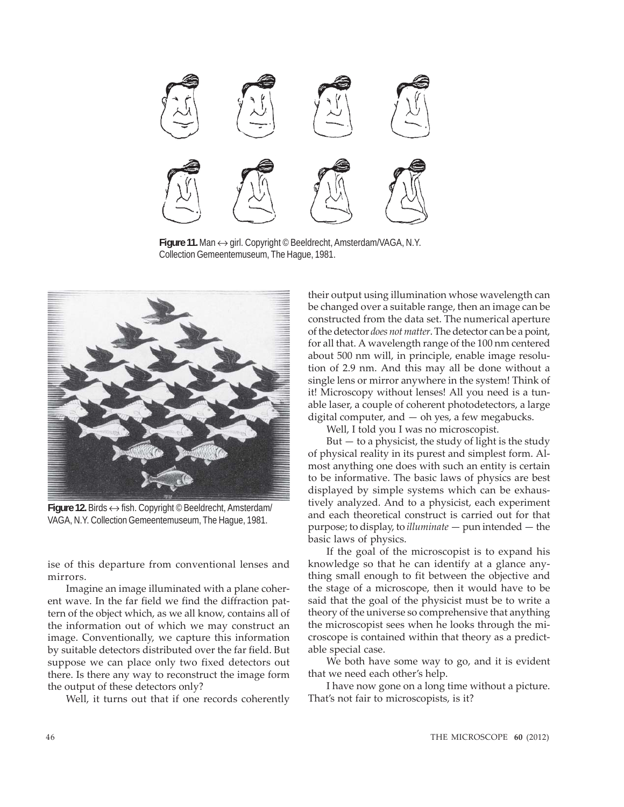

**Figure 11.** Man ↔ girl. Copyright © Beeldrecht, Amsterdam/VAGA, N.Y. Collection Gemeentemuseum, The Hague, 1981.



**Figure 12.** Birds ↔ fish. Copyright © Beeldrecht, Amsterdam/ VAGA, N.Y. Collection Gemeentemuseum, The Hague, 1981.

ise of this departure from conventional lenses and mirrors.

Imagine an image illuminated with a plane coherent wave. In the far field we find the diffraction pattern of the object which, as we all know, contains all of the information out of which we may construct an image. Conventionally, we capture this information by suitable detectors distributed over the far field. But suppose we can place only two fixed detectors out there. Is there any way to reconstruct the image form the output of these detectors only?

Well, it turns out that if one records coherently

their output using illumination whose wavelength can be changed over a suitable range, then an image can be constructed from the data set. The numerical aperture of the detector *does not matter*. The detector can be a point, for all that. A wavelength range of the 100 nm centered about 500 nm will, in principle, enable image resolution of 2.9 nm. And this may all be done without a single lens or mirror anywhere in the system! Think of it! Microscopy without lenses! All you need is a tunable laser, a couple of coherent photodetectors, a large digital computer, and  $-$  oh yes, a few megabucks.

Well, I told you I was no microscopist.

But — to a physicist, the study of light is the study of physical reality in its purest and simplest form. Almost anything one does with such an entity is certain to be informative. The basic laws of physics are best displayed by simple systems which can be exhaustively analyzed. And to a physicist, each experiment and each theoretical construct is carried out for that purpose; to display, to *illuminate* — pun intended — the basic laws of physics.

If the goal of the microscopist is to expand his knowledge so that he can identify at a glance anything small enough to fit between the objective and the stage of a microscope, then it would have to be said that the goal of the physicist must be to write a theory of the universe so comprehensive that anything the microscopist sees when he looks through the microscope is contained within that theory as a predictable special case.

We both have some way to go, and it is evident that we need each other's help.

I have now gone on a long time without a picture. That's not fair to microscopists, is it?